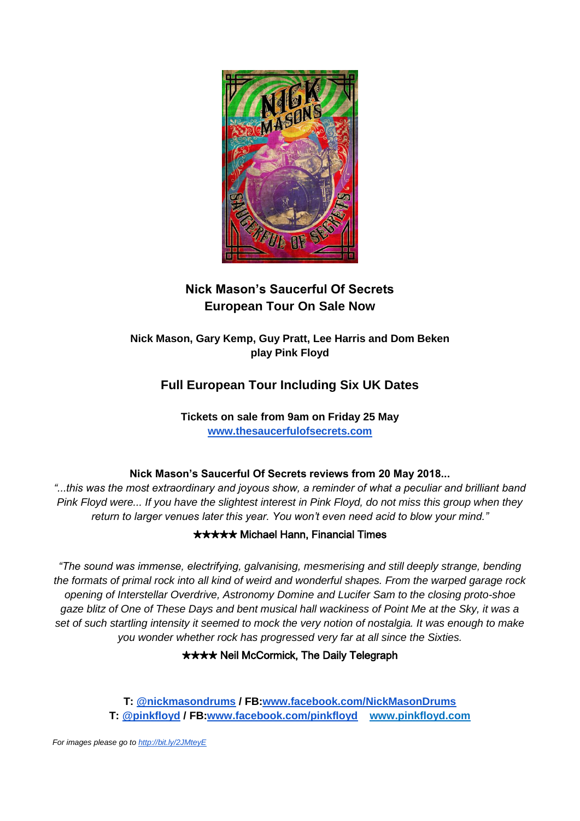

# **Nick Mason's Saucerful Of Secrets European Tour On Sale Now**

**Nick Mason, Gary Kemp, Guy Pratt, Lee Harris and Dom Beken play Pink Floyd** 

# **Full European Tour Including Six UK Dates**

**Tickets on sale from 9am on Friday 25 May [www.thesaucerfulofsecrets.com](http://www.thesaucerfulofsecrets.com/)**

### **Nick Mason's Saucerful Of Secrets reviews from 20 May 2018...**

*"...this was the most extraordinary and joyous show, a reminder of what a peculiar and brilliant band Pink Floyd were... If you have the slightest interest in Pink Floyd, do not miss this group when they return to larger venues later this year. You won't even need acid to blow your mind."*

### ✭✮✮✮✮ Michael Hann, Financial Times

*"The sound was immense, electrifying, galvanising, mesmerising and still deeply strange, bending the formats of primal rock into all kind of weird and wonderful shapes. From the warped garage rock opening of Interstellar Overdrive, Astronomy Domine and Lucifer Sam to the closing proto-shoe gaze blitz of One of These Days and bent musical hall wackiness of Point Me at the Sky, it was a set of such startling intensity it seemed to mock the very notion of nostalgia. It was enough to make you wonder whether rock has progressed very far at all since the Sixties.*

### **★★★★ Neil McCormick, The Daily Telegraph**

**T: [@nickmasondrums](https://twitter.com/nickmasondrums?lang=en) / FB[:www.facebook.com/NickMasonDrums](http://www.facebook.com/NickMasonDrums) T: [@pinkfloyd](https://twitter.com/pinkfloyd) / FB[:www.facebook.com/pinkfloyd](http://www.facebook.com/pinkfloyd) www.pinkfloyd.com**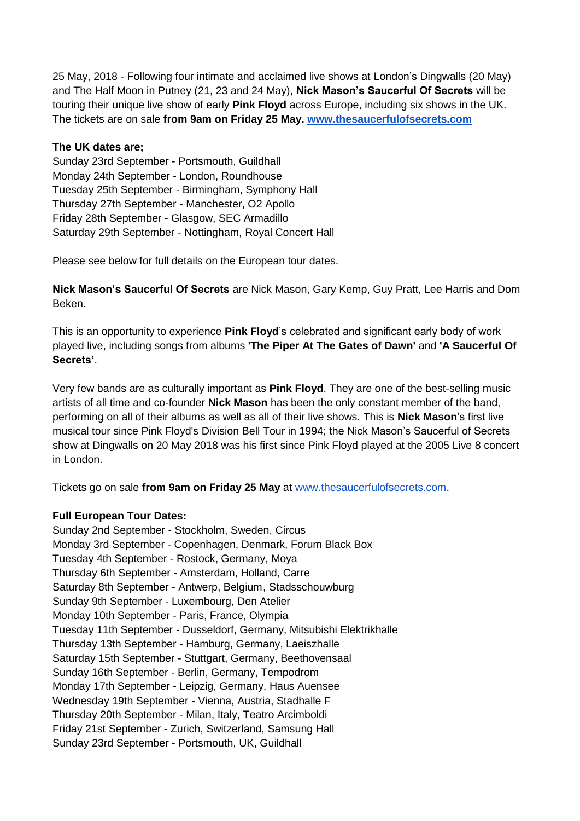25 May, 2018 - Following four intimate and acclaimed live shows at London's Dingwalls (20 May) and The Half Moon in Putney (21, 23 and 24 May), **Nick Mason's Saucerful Of Secrets** will be touring their unique live show of early **Pink Floyd** across Europe, including six shows in the UK. The tickets are on sale **from 9am on Friday 25 May. [www.thesaucerfulofsecrets.com](http://www.thesaucerfulofsecrets.com/)**

#### **The UK dates are;**

Sunday 23rd September - Portsmouth, Guildhall Monday 24th September - London, Roundhouse Tuesday 25th September - Birmingham, Symphony Hall Thursday 27th September - Manchester, O2 Apollo Friday 28th September - Glasgow, SEC Armadillo Saturday 29th September - Nottingham, Royal Concert Hall

Please see below for full details on the European tour dates.

**Nick Mason's Saucerful Of Secrets** are Nick Mason, Gary Kemp, Guy Pratt, Lee Harris and Dom Beken.

This is an opportunity to experience **Pink Floyd**'s celebrated and significant early body of work played live, including songs from albums **'The Piper At The Gates of Dawn'** and **'A Saucerful Of Secrets'**.

Very few bands are as culturally important as **Pink Floyd**. They are one of the best-selling music artists of all time and co-founder **Nick Mason** has been the only constant member of the band, performing on all of their albums as well as all of their live shows. This is **Nick Mason**'s first live musical tour since Pink Floyd's Division Bell Tour in 1994; the Nick Mason's Saucerful of Secrets show at Dingwalls on 20 May 2018 was his first since Pink Floyd played at the 2005 Live 8 concert in London.

Tickets go on sale **from 9am on Friday 25 May** at [www.thesaucerfulofsecrets.com.](http://www.thesaucerfulofsecrets.com/)

#### **Full European Tour Dates:**

Sunday 2nd September - Stockholm, Sweden, Circus Monday 3rd September - Copenhagen, Denmark, Forum Black Box Tuesday 4th September - Rostock, Germany, Moya Thursday 6th September - Amsterdam, Holland, Carre Saturday 8th September - Antwerp, Belgium, Stadsschouwburg Sunday 9th September - Luxembourg, Den Atelier Monday 10th September - Paris, France, Olympia Tuesday 11th September - Dusseldorf, Germany, Mitsubishi Elektrikhalle Thursday 13th September - Hamburg, Germany, Laeiszhalle Saturday 15th September - Stuttgart, Germany, Beethovensaal Sunday 16th September - Berlin, Germany, Tempodrom Monday 17th September - Leipzig, Germany, Haus Auensee Wednesday 19th September - Vienna, Austria, Stadhalle F Thursday 20th September - Milan, Italy, Teatro Arcimboldi Friday 21st September - Zurich, Switzerland, Samsung Hall Sunday 23rd September - Portsmouth, UK, Guildhall